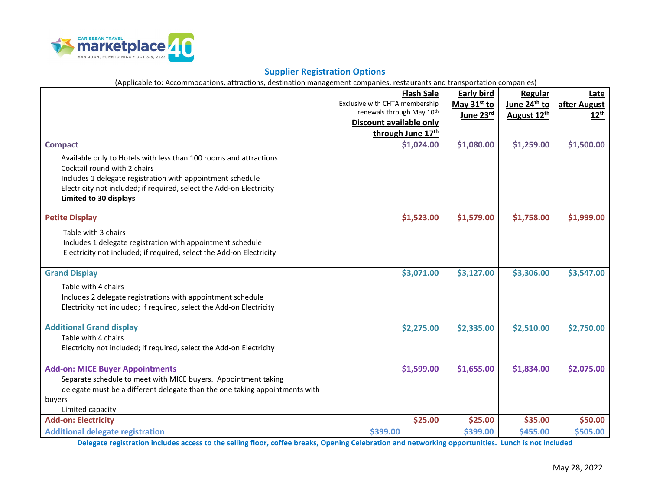

## **Supplier Registration Options**

(Applicable to: Accommodations, attractions, destination management companies, restaurants and transportation companies)

|                                                                             | <b>Flash Sale</b>              | <b>Early bird</b>       | Regular                  | Late         |
|-----------------------------------------------------------------------------|--------------------------------|-------------------------|--------------------------|--------------|
|                                                                             | Exclusive with CHTA membership | May 31 <sup>st</sup> to | June 24 <sup>th</sup> to | after August |
|                                                                             | renewals through May 10th      | June 23rd               | August 12th              | $12^{th}$    |
|                                                                             | Discount available only        |                         |                          |              |
|                                                                             | through June 17th              |                         |                          |              |
| <b>Compact</b>                                                              | \$1,024.00                     | \$1,080.00              | \$1,259.00               | \$1,500.00   |
| Available only to Hotels with less than 100 rooms and attractions           |                                |                         |                          |              |
| Cocktail round with 2 chairs                                                |                                |                         |                          |              |
| Includes 1 delegate registration with appointment schedule                  |                                |                         |                          |              |
| Electricity not included; if required, select the Add-on Electricity        |                                |                         |                          |              |
| Limited to 30 displays                                                      |                                |                         |                          |              |
|                                                                             |                                |                         |                          |              |
| <b>Petite Display</b>                                                       | \$1,523.00                     | \$1,579.00              | \$1,758.00               | \$1,999.00   |
| Table with 3 chairs                                                         |                                |                         |                          |              |
| Includes 1 delegate registration with appointment schedule                  |                                |                         |                          |              |
| Electricity not included; if required, select the Add-on Electricity        |                                |                         |                          |              |
|                                                                             |                                |                         |                          |              |
| <b>Grand Display</b>                                                        | \$3,071.00                     | \$3,127.00              | \$3,306.00               | \$3,547.00   |
| Table with 4 chairs                                                         |                                |                         |                          |              |
| Includes 2 delegate registrations with appointment schedule                 |                                |                         |                          |              |
| Electricity not included; if required, select the Add-on Electricity        |                                |                         |                          |              |
|                                                                             |                                |                         |                          |              |
| <b>Additional Grand display</b>                                             | \$2,275.00                     | \$2,335.00              | \$2,510.00               | \$2,750.00   |
| Table with 4 chairs                                                         |                                |                         |                          |              |
| Electricity not included; if required, select the Add-on Electricity        |                                |                         |                          |              |
|                                                                             |                                |                         |                          |              |
| <b>Add-on: MICE Buyer Appointments</b>                                      | \$1,599.00                     | \$1,655.00              | \$1,834.00               | \$2,075.00   |
| Separate schedule to meet with MICE buyers. Appointment taking              |                                |                         |                          |              |
| delegate must be a different delegate than the one taking appointments with |                                |                         |                          |              |
| buyers                                                                      |                                |                         |                          |              |
| Limited capacity                                                            |                                |                         |                          |              |
| <b>Add-on: Electricity</b>                                                  | \$25.00                        | \$25.00                 | \$35.00                  | \$50.00      |
| <b>Additional delegate registration</b>                                     | \$399.00                       | \$399.00                | \$455.00                 | \$505.00     |

**Delegate registration includes access to the selling floor, coffee breaks, Opening Celebration and networking opportunities. Lunch is not included**